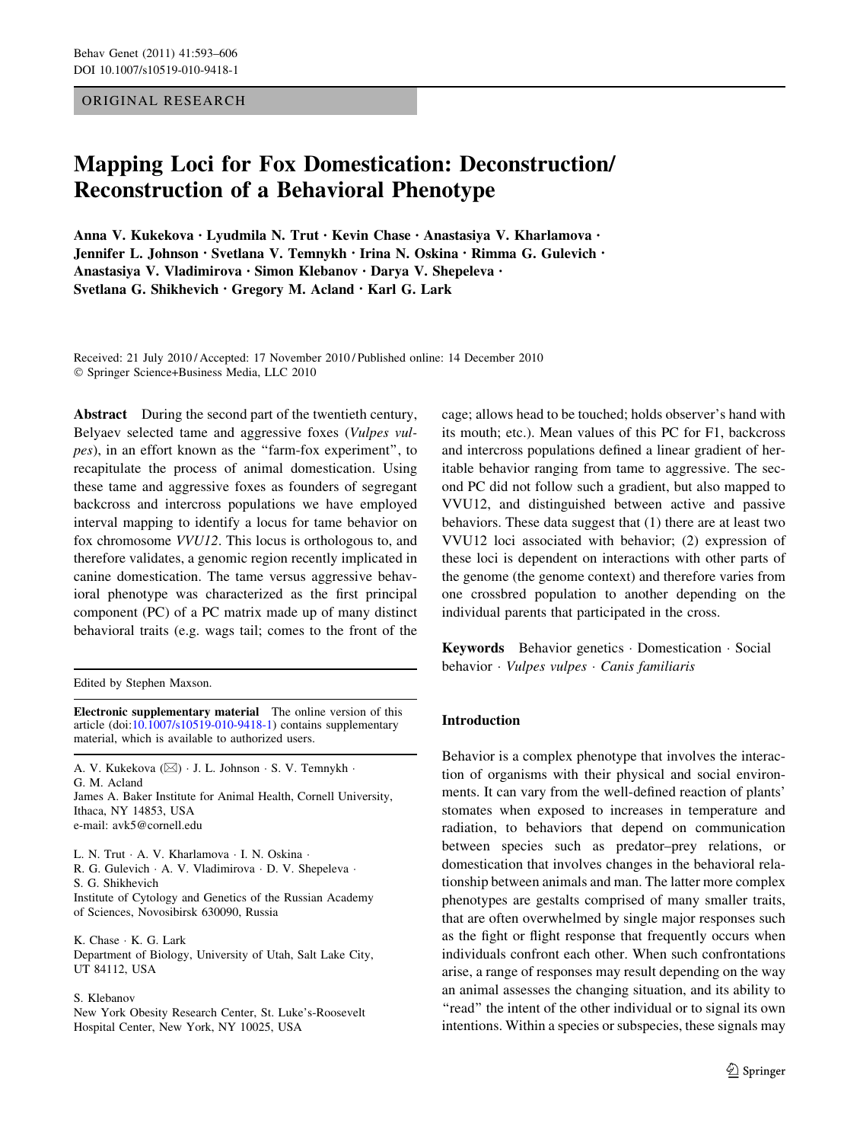## ORIGINAL RESEARCH

# Mapping Loci for Fox Domestication: Deconstruction/ Reconstruction of a Behavioral Phenotype

Anna V. Kukekova • Lyudmila N. Trut • Kevin Chase • Anastasiya V. Kharlamova • Jennifer L. Johnson • Svetlana V. Temnykh • Irina N. Oskina • Rimma G. Gulevich • Anastasiya V. Vladimirova • Simon Klebanov • Darya V. Shepeleva • Svetlana G. Shikhevich • Gregory M. Acland • Karl G. Lark

Received: 21 July 2010 / Accepted: 17 November 2010 / Published online: 14 December 2010 - Springer Science+Business Media, LLC 2010

Abstract During the second part of the twentieth century, Belyaev selected tame and aggressive foxes (Vulpes vulpes), in an effort known as the ''farm-fox experiment'', to recapitulate the process of animal domestication. Using these tame and aggressive foxes as founders of segregant backcross and intercross populations we have employed interval mapping to identify a locus for tame behavior on fox chromosome VVU12. This locus is orthologous to, and therefore validates, a genomic region recently implicated in canine domestication. The tame versus aggressive behavioral phenotype was characterized as the first principal component (PC) of a PC matrix made up of many distinct behavioral traits (e.g. wags tail; comes to the front of the

A. V. Kukekova (&) - J. L. Johnson - S. V. Temnykh - G. M. Acland James A. Baker Institute for Animal Health, Cornell University, Ithaca, NY 14853, USA e-mail: avk5@cornell.edu

L. N. Trut · A. V. Kharlamova · I. N. Oskina · R. G. Gulevich - A. V. Vladimirova - D. V. Shepeleva - S. G. Shikhevich Institute of Cytology and Genetics of the Russian Academy of Sciences, Novosibirsk 630090, Russia

K. Chase - K. G. Lark Department of Biology, University of Utah, Salt Lake City, UT 84112, USA

S. Klebanov

New York Obesity Research Center, St. Luke's-Roosevelt Hospital Center, New York, NY 10025, USA

cage; allows head to be touched; holds observer's hand with its mouth; etc.). Mean values of this PC for F1, backcross and intercross populations defined a linear gradient of heritable behavior ranging from tame to aggressive. The second PC did not follow such a gradient, but also mapped to VVU12, and distinguished between active and passive behaviors. These data suggest that (1) there are at least two VVU12 loci associated with behavior; (2) expression of these loci is dependent on interactions with other parts of the genome (the genome context) and therefore varies from one crossbred population to another depending on the individual parents that participated in the cross.

Keywords Behavior genetics - Domestication - Social behavior · Vulpes vulpes · Canis familiaris

# Introduction

Behavior is a complex phenotype that involves the interaction of organisms with their physical and social environments. It can vary from the well-defined reaction of plants' stomates when exposed to increases in temperature and radiation, to behaviors that depend on communication between species such as predator–prey relations, or domestication that involves changes in the behavioral relationship between animals and man. The latter more complex phenotypes are gestalts comprised of many smaller traits, that are often overwhelmed by single major responses such as the fight or flight response that frequently occurs when individuals confront each other. When such confrontations arise, a range of responses may result depending on the way an animal assesses the changing situation, and its ability to "read" the intent of the other individual or to signal its own intentions. Within a species or subspecies, these signals may

Edited by Stephen Maxson.

Electronic supplementary material The online version of this article (doi:[10.1007/s10519-010-9418-1\)](http://dx.doi.org/10.1007/s10519-010-9418-1) contains supplementary material, which is available to authorized users.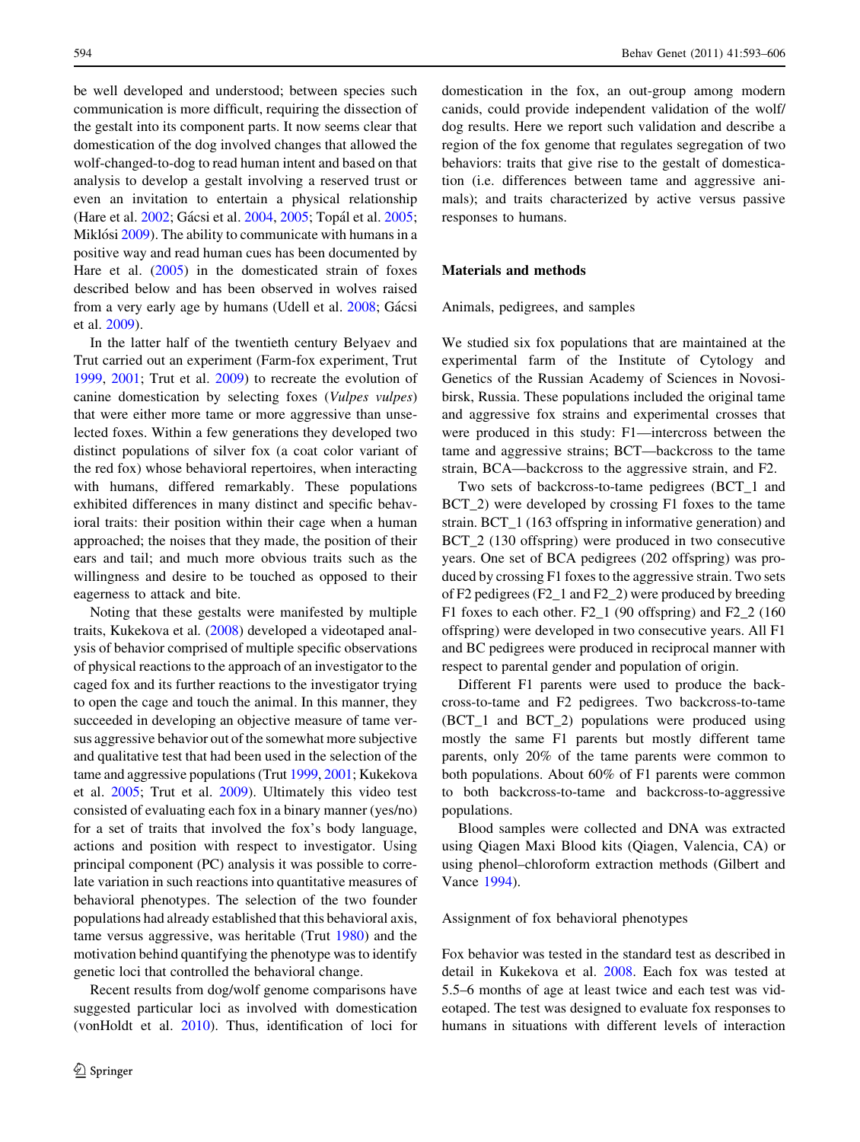<span id="page-1-0"></span>be well developed and understood; between species such communication is more difficult, requiring the dissection of the gestalt into its component parts. It now seems clear that domestication of the dog involved changes that allowed the wolf-changed-to-dog to read human intent and based on that analysis to develop a gestalt involving a reserved trust or even an invitation to entertain a physical relationship (Hare et al. [2002;](#page-12-0) Gácsi et al. [2004](#page-12-0), [2005](#page-13-0); Topál et al. 2005; Miklósi [2009\)](#page-13-0). The ability to communicate with humans in a positive way and read human cues has been documented by Hare et al. [\(2005](#page-12-0)) in the domesticated strain of foxes described below and has been observed in wolves raised from a very early age by humans (Udell et al. [2008;](#page-13-0) Gácsi et al. [2009](#page-12-0)).

In the latter half of the twentieth century Belyaev and Trut carried out an experiment (Farm-fox experiment, Trut [1999,](#page-13-0) [2001](#page-13-0); Trut et al. [2009](#page-13-0)) to recreate the evolution of canine domestication by selecting foxes (Vulpes vulpes) that were either more tame or more aggressive than unselected foxes. Within a few generations they developed two distinct populations of silver fox (a coat color variant of the red fox) whose behavioral repertoires, when interacting with humans, differed remarkably. These populations exhibited differences in many distinct and specific behavioral traits: their position within their cage when a human approached; the noises that they made, the position of their ears and tail; and much more obvious traits such as the willingness and desire to be touched as opposed to their eagerness to attack and bite.

Noting that these gestalts were manifested by multiple traits, Kukekova et al. ([2008\)](#page-12-0) developed a videotaped analysis of behavior comprised of multiple specific observations of physical reactions to the approach of an investigator to the caged fox and its further reactions to the investigator trying to open the cage and touch the animal. In this manner, they succeeded in developing an objective measure of tame versus aggressive behavior out of the somewhat more subjective and qualitative test that had been used in the selection of the tame and aggressive populations (Trut [1999](#page-13-0), [2001](#page-13-0); Kukekova et al. [2005;](#page-12-0) Trut et al. [2009\)](#page-13-0). Ultimately this video test consisted of evaluating each fox in a binary manner (yes/no) for a set of traits that involved the fox's body language, actions and position with respect to investigator. Using principal component (PC) analysis it was possible to correlate variation in such reactions into quantitative measures of behavioral phenotypes. The selection of the two founder populations had already established that this behavioral axis, tame versus aggressive, was heritable (Trut [1980](#page-13-0)) and the motivation behind quantifying the phenotype was to identify genetic loci that controlled the behavioral change.

Recent results from dog/wolf genome comparisons have suggested particular loci as involved with domestication (vonHoldt et al. [2010\)](#page-13-0). Thus, identification of loci for domestication in the fox, an out-group among modern canids, could provide independent validation of the wolf/ dog results. Here we report such validation and describe a region of the fox genome that regulates segregation of two behaviors: traits that give rise to the gestalt of domestication (i.e. differences between tame and aggressive animals); and traits characterized by active versus passive responses to humans.

## Materials and methods

Animals, pedigrees, and samples

We studied six fox populations that are maintained at the experimental farm of the Institute of Cytology and Genetics of the Russian Academy of Sciences in Novosibirsk, Russia. These populations included the original tame and aggressive fox strains and experimental crosses that were produced in this study: F1—intercross between the tame and aggressive strains; BCT—backcross to the tame strain, BCA—backcross to the aggressive strain, and F2.

Two sets of backcross-to-tame pedigrees (BCT\_1 and BCT 2) were developed by crossing F1 foxes to the tame strain. BCT\_1 (163 offspring in informative generation) and BCT\_2 (130 offspring) were produced in two consecutive years. One set of BCA pedigrees (202 offspring) was produced by crossing F1 foxes to the aggressive strain. Two sets of F2 pedigrees (F2\_1 and F2\_2) were produced by breeding F1 foxes to each other. F2\_1 (90 offspring) and F2\_2 (160 offspring) were developed in two consecutive years. All F1 and BC pedigrees were produced in reciprocal manner with respect to parental gender and population of origin.

Different F1 parents were used to produce the backcross-to-tame and F2 pedigrees. Two backcross-to-tame (BCT\_1 and BCT\_2) populations were produced using mostly the same F1 parents but mostly different tame parents, only 20% of the tame parents were common to both populations. About 60% of F1 parents were common to both backcross-to-tame and backcross-to-aggressive populations.

Blood samples were collected and DNA was extracted using Qiagen Maxi Blood kits (Qiagen, Valencia, CA) or using phenol–chloroform extraction methods (Gilbert and Vance [1994](#page-12-0)).

#### Assignment of fox behavioral phenotypes

Fox behavior was tested in the standard test as described in detail in Kukekova et al. [2008](#page-12-0). Each fox was tested at 5.5–6 months of age at least twice and each test was videotaped. The test was designed to evaluate fox responses to humans in situations with different levels of interaction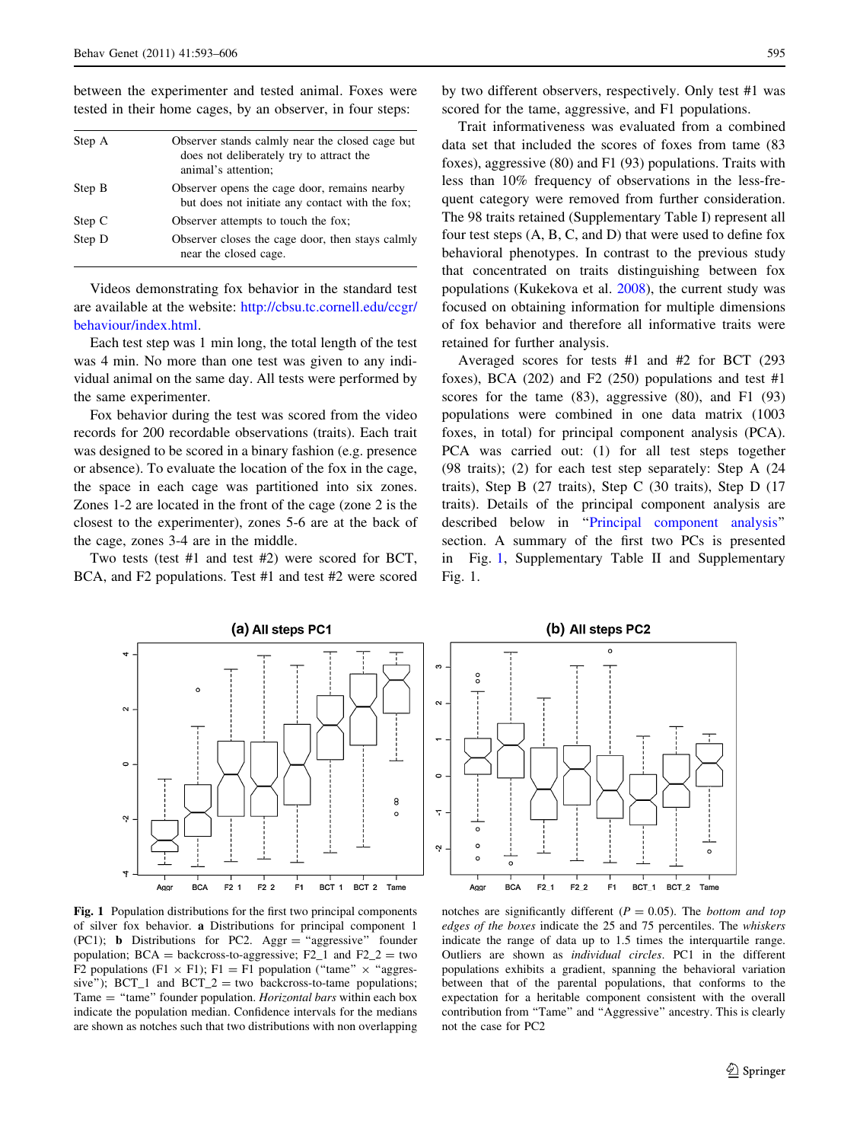<span id="page-2-0"></span>between the experimenter and tested animal. Foxes were tested in their home cages, by an observer, in four steps:

| Step A | Observer stands calmly near the closed cage but<br>does not deliberately try to attract the<br>animal's attention: |
|--------|--------------------------------------------------------------------------------------------------------------------|
| Step B | Observer opens the cage door, remains nearby<br>but does not initiate any contact with the fox;                    |
| Step C | Observer attempts to touch the fox;                                                                                |
| Step D | Observer closes the cage door, then stays calmly<br>near the closed cage.                                          |

Videos demonstrating fox behavior in the standard test are available at the website: [http://cbsu.tc.cornell.edu/ccgr/](http://cbsu.tc.cornell.edu/ccgr/behaviour/index.html) [behaviour/index.html](http://cbsu.tc.cornell.edu/ccgr/behaviour/index.html).

Each test step was 1 min long, the total length of the test was 4 min. No more than one test was given to any individual animal on the same day. All tests were performed by the same experimenter.

Fox behavior during the test was scored from the video records for 200 recordable observations (traits). Each trait was designed to be scored in a binary fashion (e.g. presence or absence). To evaluate the location of the fox in the cage, the space in each cage was partitioned into six zones. Zones 1-2 are located in the front of the cage (zone 2 is the closest to the experimenter), zones 5-6 are at the back of the cage, zones 3-4 are in the middle.

Two tests (test #1 and test #2) were scored for BCT, BCA, and F2 populations. Test #1 and test #2 were scored by two different observers, respectively. Only test #1 was scored for the tame, aggressive, and F1 populations.

Trait informativeness was evaluated from a combined data set that included the scores of foxes from tame (83 foxes), aggressive (80) and F1 (93) populations. Traits with less than 10% frequency of observations in the less-frequent category were removed from further consideration. The 98 traits retained (Supplementary Table I) represent all four test steps (A, B, C, and D) that were used to define fox behavioral phenotypes. In contrast to the previous study that concentrated on traits distinguishing between fox populations (Kukekova et al. [2008](#page-12-0)), the current study was focused on obtaining information for multiple dimensions of fox behavior and therefore all informative traits were retained for further analysis.

Averaged scores for tests #1 and #2 for BCT (293 foxes), BCA  $(202)$  and F2  $(250)$  populations and test #1 scores for the tame (83), aggressive (80), and F1 (93) populations were combined in one data matrix (1003 foxes, in total) for principal component analysis (PCA). PCA was carried out: (1) for all test steps together (98 traits); (2) for each test step separately: Step A (24 traits), Step B (27 traits), Step C (30 traits), Step D (17 traits). Details of the principal component analysis are described below in '['Principal component analysis'](#page-4-0)' section. A summary of the first two PCs is presented in Fig. 1, Supplementary Table II and Supplementary Fig. 1.



Fig. 1 Population distributions for the first two principal components of silver fox behavior. a Distributions for principal component 1 (PC1); **b** Distributions for PC2. Aggr = "aggressive" founder population;  $BCA = backcross-to-aggressive$ ;  $F2_1$  and  $F2_2 = two$ F2 populations (F1  $\times$  F1); F1 = F1 population ("tame"  $\times$  "aggressive");  $BCT_1$  and  $BCT_2$  = two backcross-to-tame populations; Tame = "tame" founder population. *Horizontal bars* within each box indicate the population median. Confidence intervals for the medians are shown as notches such that two distributions with non overlapping

(b) All steps PC2



notches are significantly different ( $P = 0.05$ ). The *bottom and top* edges of the boxes indicate the 25 and 75 percentiles. The whiskers indicate the range of data up to 1.5 times the interquartile range. Outliers are shown as individual circles. PC1 in the different populations exhibits a gradient, spanning the behavioral variation between that of the parental populations, that conforms to the expectation for a heritable component consistent with the overall contribution from ''Tame'' and ''Aggressive'' ancestry. This is clearly not the case for PC2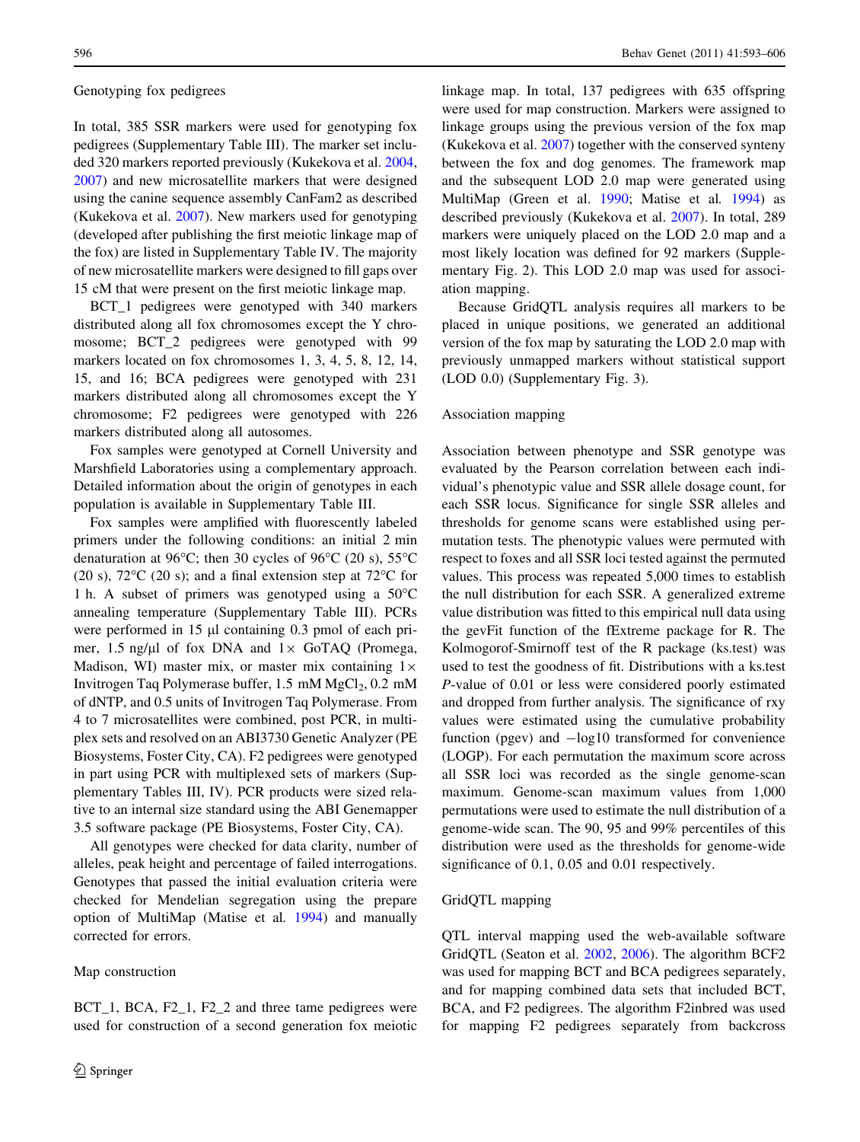### Genotyping fox pedigrees

In total, 385 SSR markers were used for genotyping fox pedigrees (Supplementary Table III). The marker set included 320 markers reported previously (Kukekova et al. [2004,](#page-12-0) [2007\)](#page-12-0) and new microsatellite markers that were designed using the canine sequence assembly CanFam2 as described (Kukekova et al. [2007\)](#page-12-0). New markers used for genotyping (developed after publishing the first meiotic linkage map of the fox) are listed in Supplementary Table IV. The majority of new microsatellite markers were designed to fill gaps over 15 cM that were present on the first meiotic linkage map.

BCT\_1 pedigrees were genotyped with 340 markers distributed along all fox chromosomes except the Y chromosome; BCT\_2 pedigrees were genotyped with 99 markers located on fox chromosomes 1, 3, 4, 5, 8, 12, 14, 15, and 16; BCA pedigrees were genotyped with 231 markers distributed along all chromosomes except the Y chromosome; F2 pedigrees were genotyped with 226 markers distributed along all autosomes.

Fox samples were genotyped at Cornell University and Marshfield Laboratories using a complementary approach. Detailed information about the origin of genotypes in each population is available in Supplementary Table III.

Fox samples were amplified with fluorescently labeled primers under the following conditions: an initial 2 min denaturation at 96°C; then 30 cycles of 96°C (20 s), 55°C (20 s),  $72^{\circ}$ C (20 s); and a final extension step at  $72^{\circ}$ C for 1 h. A subset of primers was genotyped using a  $50^{\circ}$ C annealing temperature (Supplementary Table III). PCRs were performed in  $15 \mu l$  containing 0.3 pmol of each primer, 1.5 ng/ $\mu$ l of fox DNA and 1 $\times$  GoTAQ (Promega, Madison, WI) master mix, or master mix containing  $1 \times$ Invitrogen Taq Polymerase buffer,  $1.5 \text{ mM } MgCl_2$ , 0.2 mM of dNTP, and 0.5 units of Invitrogen Taq Polymerase. From 4 to 7 microsatellites were combined, post PCR, in multiplex sets and resolved on an ABI3730 Genetic Analyzer (PE Biosystems, Foster City, CA). F2 pedigrees were genotyped in part using PCR with multiplexed sets of markers (Supplementary Tables III, IV). PCR products were sized relative to an internal size standard using the ABI Genemapper 3.5 software package (PE Biosystems, Foster City, CA).

All genotypes were checked for data clarity, number of alleles, peak height and percentage of failed interrogations. Genotypes that passed the initial evaluation criteria were checked for Mendelian segregation using the prepare option of MultiMap (Matise et al. [1994\)](#page-13-0) and manually corrected for errors.

Map construction

BCT<sub>1</sub>, BCA, F<sub>2<sup>1</sup>, F<sub>2</sub><sup>2</sup> and three tame pedigrees were</sub> used for construction of a second generation fox meiotic linkage map. In total, 137 pedigrees with 635 offspring were used for map construction. Markers were assigned to linkage groups using the previous version of the fox map (Kukekova et al. [2007\)](#page-12-0) together with the conserved synteny between the fox and dog genomes. The framework map and the subsequent LOD 2.0 map were generated using MultiMap (Green et al. [1990;](#page-12-0) Matise et al. [1994\)](#page-13-0) as described previously (Kukekova et al. [2007\)](#page-12-0). In total, 289 markers were uniquely placed on the LOD 2.0 map and a most likely location was defined for 92 markers (Supplementary Fig. 2). This LOD 2.0 map was used for association mapping.

Because GridQTL analysis requires all markers to be placed in unique positions, we generated an additional version of the fox map by saturating the LOD 2.0 map with previously unmapped markers without statistical support (LOD 0.0) (Supplementary Fig. 3).

### Association mapping

Association between phenotype and SSR genotype was evaluated by the Pearson correlation between each individual's phenotypic value and SSR allele dosage count, for each SSR locus. Significance for single SSR alleles and thresholds for genome scans were established using permutation tests. The phenotypic values were permuted with respect to foxes and all SSR loci tested against the permuted values. This process was repeated 5,000 times to establish the null distribution for each SSR. A generalized extreme value distribution was fitted to this empirical null data using the gevFit function of the fExtreme package for R. The Kolmogorof-Smirnoff test of the R package (ks.test) was used to test the goodness of fit. Distributions with a ks.test P-value of 0.01 or less were considered poorly estimated and dropped from further analysis. The significance of rxy values were estimated using the cumulative probability function (pgev) and  $-\log 10$  transformed for convenience (LOGP). For each permutation the maximum score across all SSR loci was recorded as the single genome-scan maximum. Genome-scan maximum values from 1,000 permutations were used to estimate the null distribution of a genome-wide scan. The 90, 95 and 99% percentiles of this distribution were used as the thresholds for genome-wide significance of 0.1, 0.05 and 0.01 respectively.

## GridQTL mapping

QTL interval mapping used the web-available software GridQTL (Seaton et al. [2002,](#page-13-0) [2006](#page-13-0)). The algorithm BCF2 was used for mapping BCT and BCA pedigrees separately, and for mapping combined data sets that included BCT, BCA, and F2 pedigrees. The algorithm F2inbred was used for mapping F2 pedigrees separately from backcross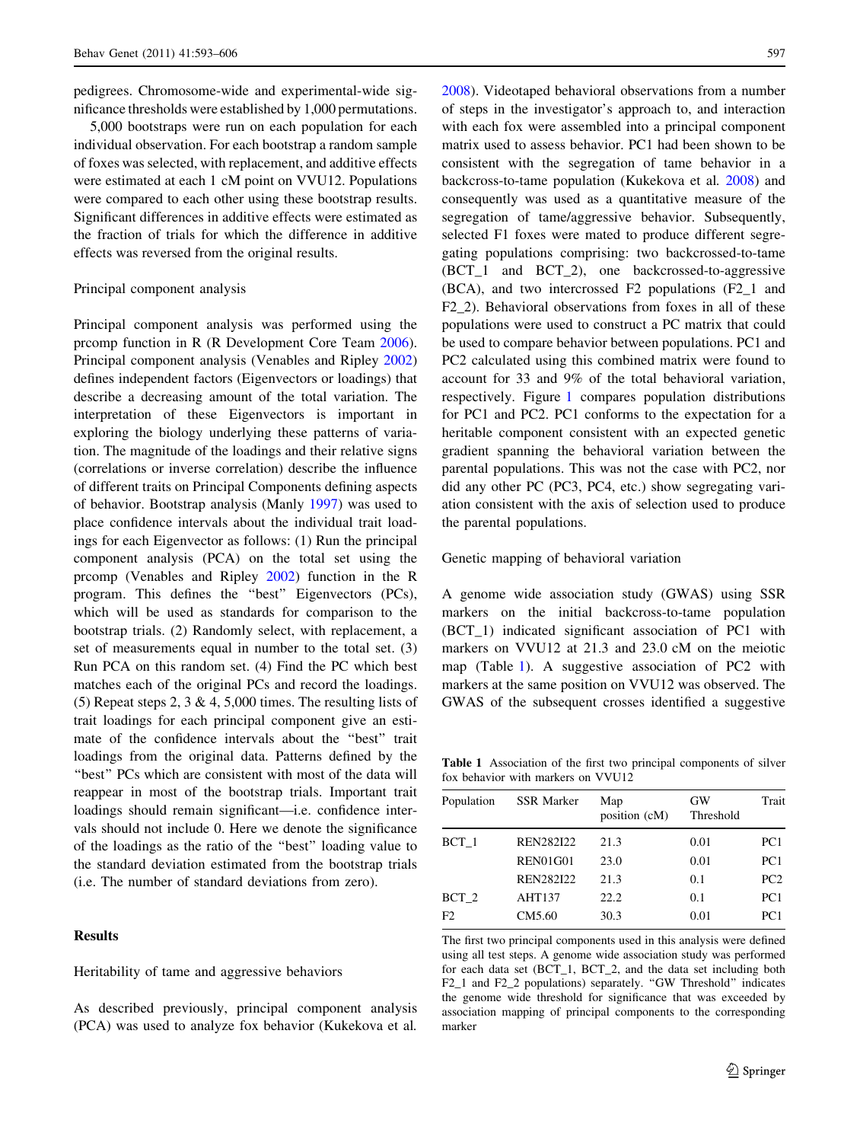<span id="page-4-0"></span>pedigrees. Chromosome-wide and experimental-wide significance thresholds were established by 1,000 permutations.

5,000 bootstraps were run on each population for each individual observation. For each bootstrap a random sample of foxes was selected, with replacement, and additive effects were estimated at each 1 cM point on VVU12. Populations were compared to each other using these bootstrap results. Significant differences in additive effects were estimated as the fraction of trials for which the difference in additive effects was reversed from the original results.

## Principal component analysis

Principal component analysis was performed using the prcomp function in R (R Development Core Team [2006](#page-13-0)). Principal component analysis (Venables and Ripley [2002\)](#page-13-0) defines independent factors (Eigenvectors or loadings) that describe a decreasing amount of the total variation. The interpretation of these Eigenvectors is important in exploring the biology underlying these patterns of variation. The magnitude of the loadings and their relative signs (correlations or inverse correlation) describe the influence of different traits on Principal Components defining aspects of behavior. Bootstrap analysis (Manly [1997](#page-13-0)) was used to place confidence intervals about the individual trait loadings for each Eigenvector as follows: (1) Run the principal component analysis (PCA) on the total set using the prcomp (Venables and Ripley [2002](#page-13-0)) function in the R program. This defines the ''best'' Eigenvectors (PCs), which will be used as standards for comparison to the bootstrap trials. (2) Randomly select, with replacement, a set of measurements equal in number to the total set. (3) Run PCA on this random set. (4) Find the PC which best matches each of the original PCs and record the loadings. (5) Repeat steps 2, 3 & 4, 5,000 times. The resulting lists of trait loadings for each principal component give an estimate of the confidence intervals about the ''best'' trait loadings from the original data. Patterns defined by the "best" PCs which are consistent with most of the data will reappear in most of the bootstrap trials. Important trait loadings should remain significant—i.e. confidence intervals should not include 0. Here we denote the significance of the loadings as the ratio of the ''best'' loading value to the standard deviation estimated from the bootstrap trials (i.e. The number of standard deviations from zero).

## **Results**

Heritability of tame and aggressive behaviors

As described previously, principal component analysis (PCA) was used to analyze fox behavior (Kukekova et al.

[2008](#page-12-0)). Videotaped behavioral observations from a number of steps in the investigator's approach to, and interaction with each fox were assembled into a principal component matrix used to assess behavior. PC1 had been shown to be consistent with the segregation of tame behavior in a backcross-to-tame population (Kukekova et al. [2008\)](#page-12-0) and consequently was used as a quantitative measure of the segregation of tame/aggressive behavior. Subsequently, selected F1 foxes were mated to produce different segregating populations comprising: two backcrossed-to-tame (BCT\_1 and BCT\_2), one backcrossed-to-aggressive (BCA), and two intercrossed F2 populations (F2\_1 and F2\_2). Behavioral observations from foxes in all of these populations were used to construct a PC matrix that could be used to compare behavior between populations. PC1 and PC2 calculated using this combined matrix were found to account for 33 and 9% of the total behavioral variation, respectively. Figure [1](#page-2-0) compares population distributions for PC1 and PC2. PC1 conforms to the expectation for a heritable component consistent with an expected genetic gradient spanning the behavioral variation between the parental populations. This was not the case with PC2, nor did any other PC (PC3, PC4, etc.) show segregating variation consistent with the axis of selection used to produce the parental populations.

#### Genetic mapping of behavioral variation

A genome wide association study (GWAS) using SSR markers on the initial backcross-to-tame population (BCT\_1) indicated significant association of PC1 with markers on VVU12 at 21.3 and 23.0 cM on the meiotic map (Table 1). A suggestive association of PC2 with markers at the same position on VVU12 was observed. The GWAS of the subsequent crosses identified a suggestive

Table 1 Association of the first two principal components of silver fox behavior with markers on VVU12

| Population | SSR Marker       | Map<br>position (cM) | GW<br>Threshold | Trait           |
|------------|------------------|----------------------|-----------------|-----------------|
| BCT 1      | <b>REN282I22</b> | 21.3                 | 0.01            | PC <sub>1</sub> |
|            | <b>REN01G01</b>  | 23.0                 | 0.01            | PC <sub>1</sub> |
|            | <b>REN282I22</b> | 21.3                 | 0.1             | PC <sub>2</sub> |
| BCT 2      | <b>AHT137</b>    | 22.2                 | 0.1             | PC <sub>1</sub> |
| F2         | CM5.60           | 30.3                 | 0.01            | PC <sub>1</sub> |

The first two principal components used in this analysis were defined using all test steps. A genome wide association study was performed for each data set (BCT\_1, BCT\_2, and the data set including both F2\_1 and F2\_2 populations) separately. "GW Threshold" indicates the genome wide threshold for significance that was exceeded by association mapping of principal components to the corresponding marker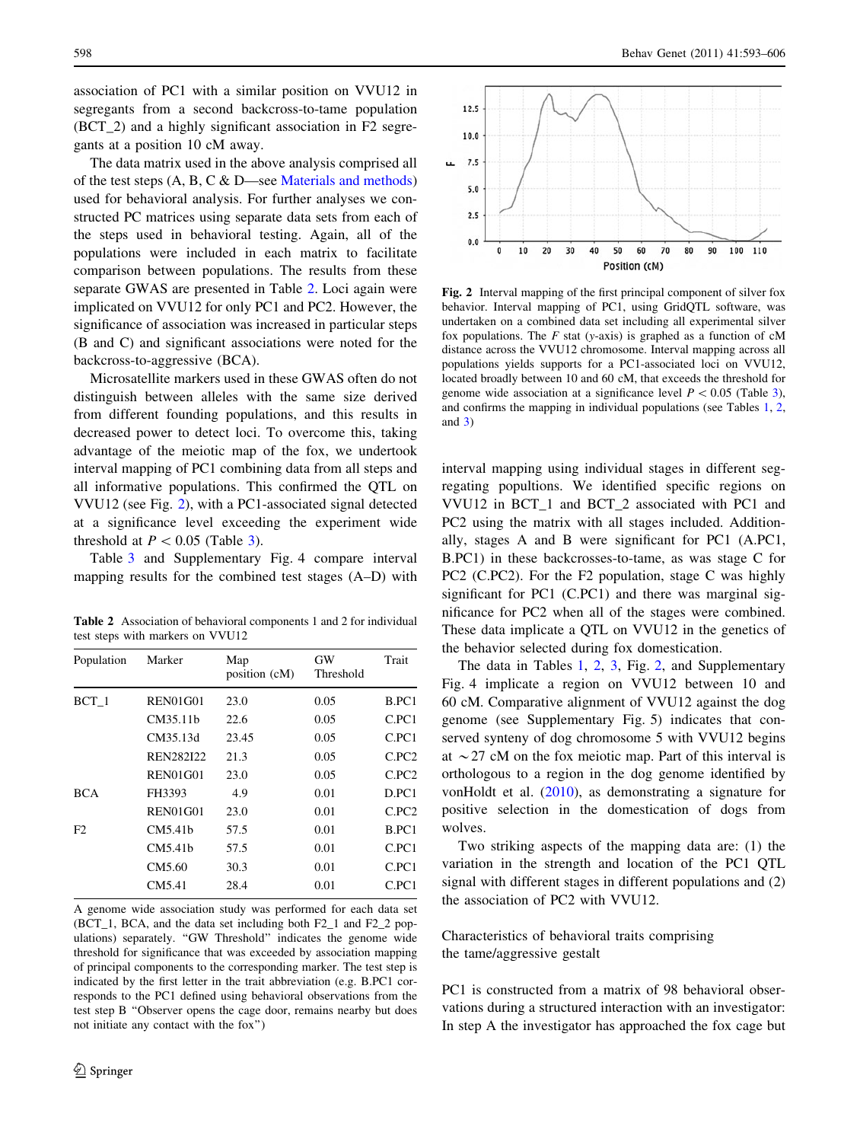<span id="page-5-0"></span>association of PC1 with a similar position on VVU12 in segregants from a second backcross-to-tame population (BCT\_2) and a highly significant association in F2 segregants at a position 10 cM away.

The data matrix used in the above analysis comprised all of the test steps (A, B, C & D—see [Materials and methods\)](#page-1-0) used for behavioral analysis. For further analyses we constructed PC matrices using separate data sets from each of the steps used in behavioral testing. Again, all of the populations were included in each matrix to facilitate comparison between populations. The results from these separate GWAS are presented in Table 2. Loci again were implicated on VVU12 for only PC1 and PC2. However, the significance of association was increased in particular steps (B and C) and significant associations were noted for the backcross-to-aggressive (BCA).

Microsatellite markers used in these GWAS often do not distinguish between alleles with the same size derived from different founding populations, and this results in decreased power to detect loci. To overcome this, taking advantage of the meiotic map of the fox, we undertook interval mapping of PC1 combining data from all steps and all informative populations. This confirmed the QTL on VVU12 (see Fig. 2), with a PC1-associated signal detected at a significance level exceeding the experiment wide threshold at  $P < 0.05$  (Table [3\)](#page-6-0).

Table [3](#page-6-0) and Supplementary Fig. 4 compare interval mapping results for the combined test stages (A–D) with

Table 2 Association of behavioral components 1 and 2 for individual test steps with markers on VVU12

| Population     | Marker              | Map<br>position (cM) | GW<br>Threshold | Trait |
|----------------|---------------------|----------------------|-----------------|-------|
| $BCT_1$        | <b>REN01G01</b>     | 23.0                 | 0.05            | B.PC1 |
|                | CM35.11b            | 22.6                 | 0.05            | C.PC1 |
|                | CM35.13d            | 23.45                | 0.05            | C.PC1 |
|                | <b>REN282I22</b>    | 21.3                 | 0.05            | C.PC2 |
|                | <b>REN01G01</b>     | 23.0                 | 0.05            | C.PC2 |
| <b>BCA</b>     | FH3393              | 4.9                  | 0.01            | D.PC1 |
|                | <b>REN01G01</b>     | 23.0                 | 0.01            | C.PC2 |
| F <sub>2</sub> | CM5.41b             | 57.5                 | 0.01            | B.PC1 |
|                | CM5.41 <sub>b</sub> | 57.5                 | 0.01            | C.PC1 |
|                | CM5.60              | 30.3                 | 0.01            | C.PC1 |
|                | CM5.41              | 28.4                 | 0.01            | C.PC1 |
|                |                     |                      |                 |       |

A genome wide association study was performed for each data set (BCT\_1, BCA, and the data set including both F2\_1 and F2\_2 populations) separately. "GW Threshold" indicates the genome wide threshold for significance that was exceeded by association mapping of principal components to the corresponding marker. The test step is indicated by the first letter in the trait abbreviation (e.g. B.PC1 corresponds to the PC1 defined using behavioral observations from the test step B ''Observer opens the cage door, remains nearby but does not initiate any contact with the fox'')



Fig. 2 Interval mapping of the first principal component of silver fox behavior. Interval mapping of PC1, using GridQTL software, was undertaken on a combined data set including all experimental silver fox populations. The  $F$  stat (y-axis) is graphed as a function of  $cM$ distance across the VVU12 chromosome. Interval mapping across all populations yields supports for a PC1-associated loci on VVU12, located broadly between 10 and 60 cM, that exceeds the threshold for genome wide association at a significance level  $P < 0.05$  (Table [3](#page-6-0)), and confirms the mapping in individual populations (see Tables [1](#page-4-0), 2, and  $3)$  $3)$ 

interval mapping using individual stages in different segregating popultions. We identified specific regions on VVU12 in BCT\_1 and BCT\_2 associated with PC1 and PC2 using the matrix with all stages included. Additionally, stages A and B were significant for PC1 (A.PC1, B.PC1) in these backcrosses-to-tame, as was stage C for PC2 (C.PC2). For the F2 population, stage C was highly significant for PC1 (C.PC1) and there was marginal significance for PC2 when all of the stages were combined. These data implicate a QTL on VVU12 in the genetics of the behavior selected during fox domestication.

The data in Tables [1,](#page-4-0) 2, [3,](#page-6-0) Fig. 2, and Supplementary Fig. 4 implicate a region on VVU12 between 10 and 60 cM. Comparative alignment of VVU12 against the dog genome (see Supplementary Fig. 5) indicates that conserved synteny of dog chromosome 5 with VVU12 begins at  $\sim$  27 cM on the fox meiotic map. Part of this interval is orthologous to a region in the dog genome identified by vonHoldt et al. ([2010\)](#page-13-0), as demonstrating a signature for positive selection in the domestication of dogs from wolves.

Two striking aspects of the mapping data are: (1) the variation in the strength and location of the PC1 QTL signal with different stages in different populations and (2) the association of PC2 with VVU12.

Characteristics of behavioral traits comprising the tame/aggressive gestalt

PC1 is constructed from a matrix of 98 behavioral observations during a structured interaction with an investigator: In step A the investigator has approached the fox cage but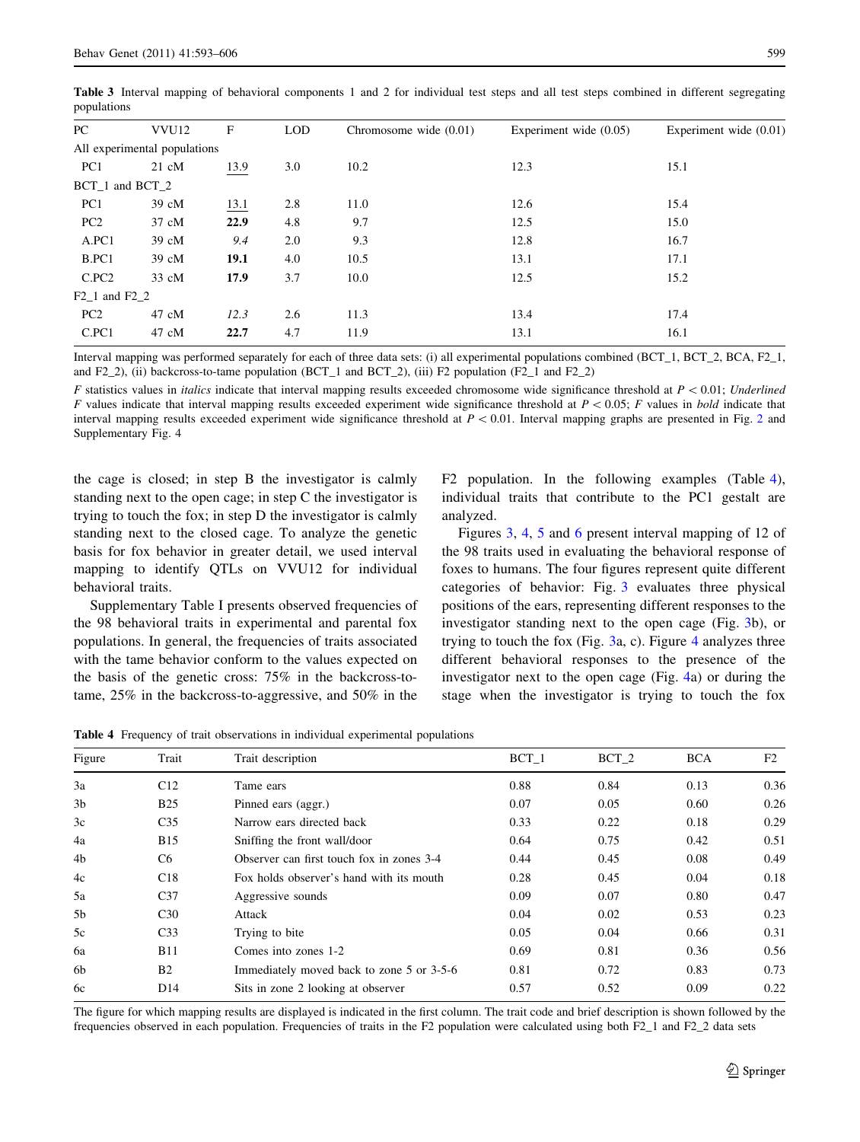| $\mathbf{1}$                          |                              |      |            |                          |                          |                          |
|---------------------------------------|------------------------------|------|------------|--------------------------|--------------------------|--------------------------|
| PC                                    | VVU <sub>12</sub>            | F    | <b>LOD</b> | Chromosome wide $(0.01)$ | Experiment wide $(0.05)$ | Experiment wide $(0.01)$ |
|                                       | All experimental populations |      |            |                          |                          |                          |
| PC <sub>1</sub>                       | $21 \text{ cM}$              | 13.9 | 3.0        | 10.2                     | 12.3                     | 15.1                     |
| BCT 1 and BCT 2                       |                              |      |            |                          |                          |                          |
| PC <sub>1</sub>                       | 39 cM                        | 13.1 | 2.8        | 11.0                     | 12.6                     | 15.4                     |
| PC <sub>2</sub>                       | 37 cM                        | 22.9 | 4.8        | 9.7                      | 12.5                     | 15.0                     |
| A.PC1                                 | 39 cM                        | 9.4  | 2.0        | 9.3                      | 12.8                     | 16.7                     |
| B.PC1                                 | 39 cM                        | 19.1 | 4.0        | 10.5                     | 13.1                     | 17.1                     |
| C.PC <sub>2</sub>                     | 33 cM                        | 17.9 | 3.7        | 10.0                     | 12.5                     | 15.2                     |
| F <sub>2</sub> 1 and F <sub>2</sub> 2 |                              |      |            |                          |                          |                          |
| PC <sub>2</sub>                       | 47 cM                        | 12.3 | 2.6        | 11.3                     | 13.4                     | 17.4                     |
| C.PC1                                 | 47 cM                        | 22.7 | 4.7        | 11.9                     | 13.1                     | 16.1                     |
|                                       |                              |      |            |                          |                          |                          |

<span id="page-6-0"></span>Table 3 Interval mapping of behavioral components 1 and 2 for individual test steps and all test steps combined in different segregating populations

Interval mapping was performed separately for each of three data sets: (i) all experimental populations combined (BCT\_1, BCT\_2, BCA, F2\_1, and F2\_2), (ii) backcross-to-tame population (BCT\_1 and BCT\_2), (iii) F2 population (F2\_1 and F2\_2)

F statistics values in *italics* indicate that interval mapping results exceeded chromosome wide significance threshold at  $P < 0.01$ ; Underlined F values indicate that interval mapping results exceeded experiment wide significance threshold at  $P \lt 0.05$ ; F values in bold indicate that interval mapping results exceeded experiment wide significance threshold at  $P < 0.01$ . Interval mapping graphs are presented in Fig. [2](#page-5-0) and Supplementary Fig. 4

the cage is closed; in step B the investigator is calmly standing next to the open cage; in step C the investigator is trying to touch the fox; in step D the investigator is calmly standing next to the closed cage. To analyze the genetic basis for fox behavior in greater detail, we used interval mapping to identify QTLs on VVU12 for individual behavioral traits.

Supplementary Table I presents observed frequencies of the 98 behavioral traits in experimental and parental fox populations. In general, the frequencies of traits associated with the tame behavior conform to the values expected on the basis of the genetic cross: 75% in the backcross-totame, 25% in the backcross-to-aggressive, and 50% in the

F2 population. In the following examples (Table 4), individual traits that contribute to the PC1 gestalt are analyzed.

Figures [3,](#page-7-0) [4](#page-8-0), [5](#page-8-0) and [6](#page-9-0) present interval mapping of 12 of the 98 traits used in evaluating the behavioral response of foxes to humans. The four figures represent quite different categories of behavior: Fig. [3](#page-7-0) evaluates three physical positions of the ears, representing different responses to the investigator standing next to the open cage (Fig. [3b](#page-7-0)), or trying to touch the fox (Fig.  $3a$ , c). Figure [4](#page-8-0) analyzes three different behavioral responses to the presence of the investigator next to the open cage (Fig. [4a](#page-8-0)) or during the stage when the investigator is trying to touch the fox

Table 4 Frequency of trait observations in individual experimental populations

| Figure         | Trait           | Trait description                         | BCT 1 | BCT 2 | <b>BCA</b> | F2   |
|----------------|-----------------|-------------------------------------------|-------|-------|------------|------|
| 3a             | C12             | Tame ears                                 | 0.88  | 0.84  | 0.13       | 0.36 |
| 3 <sub>b</sub> | <b>B25</b>      | Pinned ears (aggr.)                       | 0.07  | 0.05  | 0.60       | 0.26 |
| 3c             | C <sub>35</sub> | Narrow ears directed back                 | 0.33  | 0.22  | 0.18       | 0.29 |
| 4a             | <b>B15</b>      | Sniffing the front wall/door              | 0.64  | 0.75  | 0.42       | 0.51 |
| 4b             | C <sub>6</sub>  | Observer can first touch fox in zones 3-4 | 0.44  | 0.45  | 0.08       | 0.49 |
| 4c             | C18             | Fox holds observer's hand with its mouth  | 0.28  | 0.45  | 0.04       | 0.18 |
| 5a             | C <sub>37</sub> | Aggressive sounds                         | 0.09  | 0.07  | 0.80       | 0.47 |
| 5 <sub>b</sub> | C <sub>30</sub> | Attack                                    | 0.04  | 0.02  | 0.53       | 0.23 |
| 5c             | C <sub>33</sub> | Trying to bite                            | 0.05  | 0.04  | 0.66       | 0.31 |
| 6а             | <b>B11</b>      | Comes into zones 1-2                      | 0.69  | 0.81  | 0.36       | 0.56 |
| 6b             | B <sub>2</sub>  | Immediately moved back to zone 5 or 3-5-6 | 0.81  | 0.72  | 0.83       | 0.73 |
| 6c             | D14             | Sits in zone 2 looking at observer        | 0.57  | 0.52  | 0.09       | 0.22 |

The figure for which mapping results are displayed is indicated in the first column. The trait code and brief description is shown followed by the frequencies observed in each population. Frequencies of traits in the F2 population were calculated using both F2\_1 and F2\_2 data sets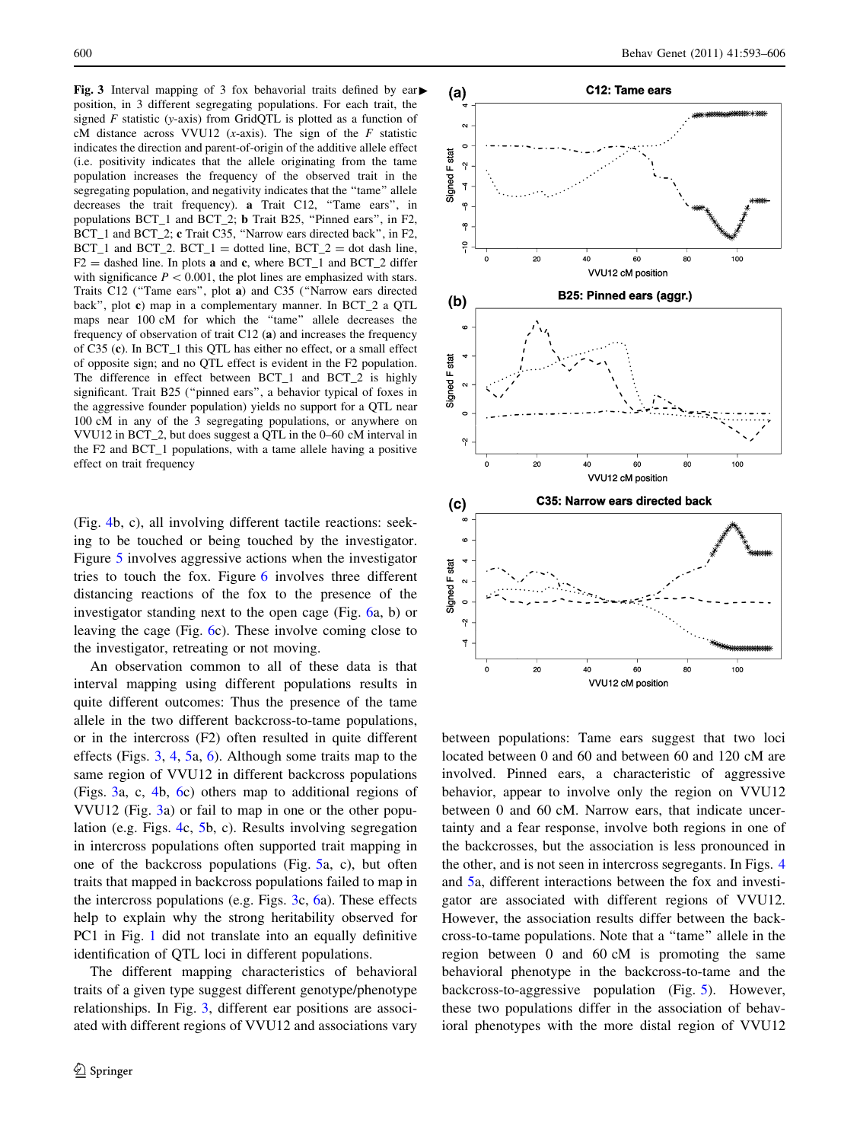<span id="page-7-0"></span>Fig. 3 Interval mapping of 3 fox behavorial traits defined by ear $\blacktriangleright$ position, in 3 different segregating populations. For each trait, the signed  $F$  statistic (y-axis) from GridQTL is plotted as a function of cM distance across VVU12 (x-axis). The sign of the  $F$  statistic indicates the direction and parent-of-origin of the additive allele effect (i.e. positivity indicates that the allele originating from the tame population increases the frequency of the observed trait in the segregating population, and negativity indicates that the ''tame'' allele decreases the trait frequency). a Trait C12, "Tame ears", in populations BCT\_1 and BCT\_2; b Trait B25, ''Pinned ears'', in F2, BCT\_1 and BCT\_2; c Trait C35, "Narrow ears directed back", in F2, BCT 1 and BCT 2. BCT  $1 =$  dotted line, BCT  $2 =$  dot dash line,  $F2$  = dashed line. In plots **a** and **c**, where BCT 1 and BCT 2 differ with significance  $P < 0.001$ , the plot lines are emphasized with stars. Traits C12 (''Tame ears'', plot a) and C35 (''Narrow ears directed back'', plot c) map in a complementary manner. In BCT\_2 a QTL maps near 100 cM for which the ''tame'' allele decreases the frequency of observation of trait C12 (a) and increases the frequency of C35 (c). In BCT\_1 this QTL has either no effect, or a small effect of opposite sign; and no QTL effect is evident in the F2 population. The difference in effect between BCT\_1 and BCT\_2 is highly significant. Trait B25 (''pinned ears'', a behavior typical of foxes in the aggressive founder population) yields no support for a QTL near 100 cM in any of the 3 segregating populations, or anywhere on VVU12 in BCT\_2, but does suggest a QTL in the 0–60 cM interval in the F2 and BCT\_1 populations, with a tame allele having a positive effect on trait frequency

(Fig. [4](#page-8-0)b, c), all involving different tactile reactions: seeking to be touched or being touched by the investigator. Figure [5](#page-8-0) involves aggressive actions when the investigator tries to touch the fox. Figure [6](#page-9-0) involves three different distancing reactions of the fox to the presence of the investigator standing next to the open cage (Fig. [6a](#page-9-0), b) or leaving the cage (Fig. [6](#page-9-0)c). These involve coming close to the investigator, retreating or not moving.

An observation common to all of these data is that interval mapping using different populations results in quite different outcomes: Thus the presence of the tame allele in the two different backcross-to-tame populations, or in the intercross (F2) often resulted in quite different effects (Figs. 3, [4,](#page-8-0) [5](#page-8-0)a, [6](#page-9-0)). Although some traits map to the same region of VVU12 in different backcross populations (Figs. 3a, c, [4](#page-8-0)b, [6](#page-9-0)c) others map to additional regions of VVU12 (Fig. 3a) or fail to map in one or the other population (e.g. Figs. [4c](#page-8-0), [5b](#page-8-0), c). Results involving segregation in intercross populations often supported trait mapping in one of the backcross populations (Fig. [5a](#page-8-0), c), but often traits that mapped in backcross populations failed to map in the intercross populations (e.g. Figs. 3c, [6](#page-9-0)a). These effects help to explain why the strong heritability observed for PC1 in Fig. [1](#page-2-0) did not translate into an equally definitive identification of QTL loci in different populations.

The different mapping characteristics of behavioral traits of a given type suggest different genotype/phenotype relationships. In Fig. 3, different ear positions are associated with different regions of VVU12 and associations vary



between populations: Tame ears suggest that two loci located between 0 and 60 and between 60 and 120 cM are involved. Pinned ears, a characteristic of aggressive behavior, appear to involve only the region on VVU12 between 0 and 60 cM. Narrow ears, that indicate uncertainty and a fear response, involve both regions in one of the backcrosses, but the association is less pronounced in the other, and is not seen in intercross segregants. In Figs. [4](#page-8-0) and [5a](#page-8-0), different interactions between the fox and investigator are associated with different regions of VVU12. However, the association results differ between the backcross-to-tame populations. Note that a ''tame'' allele in the region between 0 and 60 cM is promoting the same behavioral phenotype in the backcross-to-tame and the backcross-to-aggressive population (Fig. [5](#page-8-0)). However, these two populations differ in the association of behavioral phenotypes with the more distal region of VVU12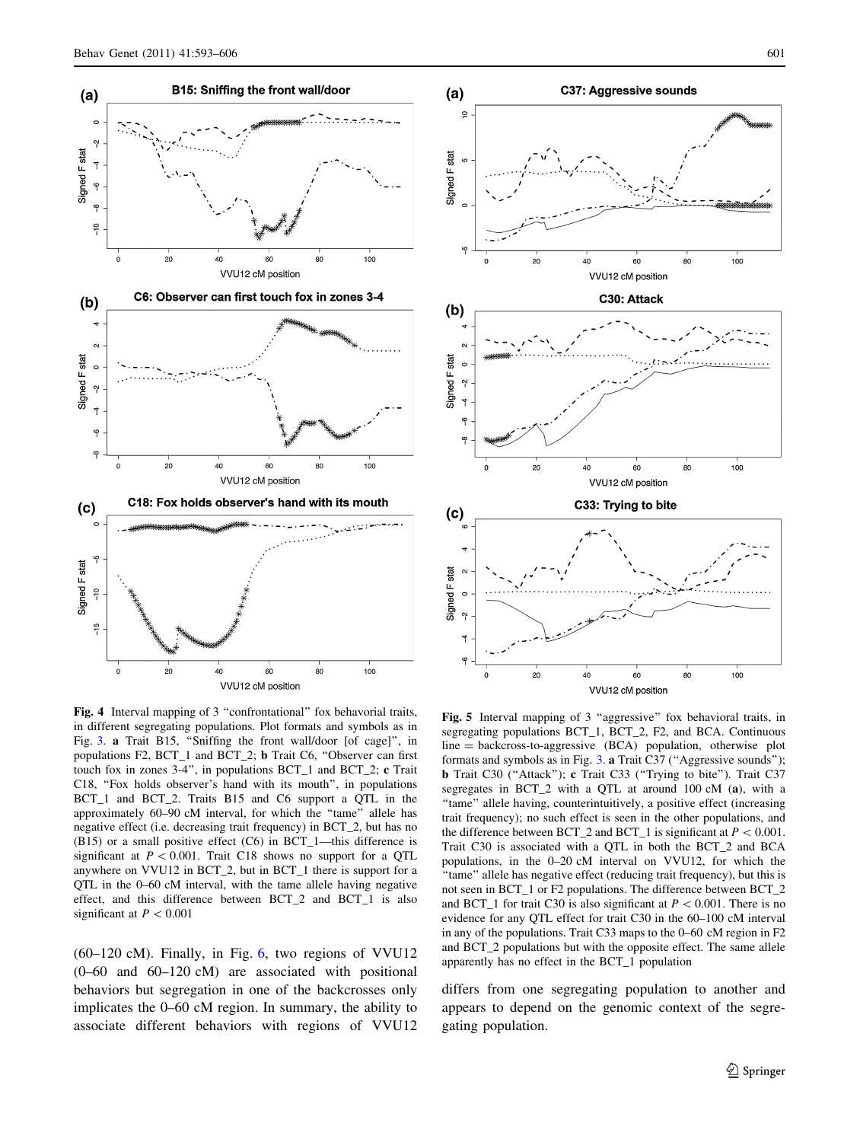<span id="page-8-0"></span>

Fig. 4 Interval mapping of 3 "confrontational" fox behavorial traits, in different segregating populations. Plot formats and symbols as in Fig. [3](#page-7-0). a Trait B15, "Sniffing the front wall/door [of cage]", in populations F2, BCT\_1 and BCT\_2; b Trait C6, ''Observer can first touch fox in zones 3-4'', in populations BCT\_1 and BCT\_2; c Trait C18, ''Fox holds observer's hand with its mouth'', in populations BCT\_1 and BCT\_2. Traits B15 and C6 support a QTL in the approximately 60–90 cM interval, for which the ''tame'' allele has negative effect (i.e. decreasing trait frequency) in BCT\_2, but has no (B15) or a small positive effect (C6) in BCT\_1—this difference is significant at  $P < 0.001$ . Trait C18 shows no support for a QTL anywhere on VVU12 in BCT\_2, but in BCT\_1 there is support for a QTL in the 0–60 cM interval, with the tame allele having negative effect, and this difference between BCT\_2 and BCT\_1 is also significant at  $P < 0.001$ 

(60–120 cM). Finally, in Fig. [6,](#page-9-0) two regions of VVU12 (0–60 and 60–120 cM) are associated with positional behaviors but segregation in one of the backcrosses only implicates the 0–60 cM region. In summary, the ability to associate different behaviors with regions of VVU12



Fig. 5 Interval mapping of 3 "aggressive" fox behavioral traits, in segregating populations BCT\_1, BCT\_2, F2, and BCA. Continuous line = backcross-to-aggressive (BCA) population, otherwise plot formats and symbols as in Fig. [3](#page-7-0). a Trait C37 (''Aggressive sounds''); b Trait C30 (''Attack''); c Trait C33 (''Trying to bite''). Trait C37 segregates in BCT\_2 with a QTL at around 100 cM (a), with a "tame" allele having, counterintuitively, a positive effect (increasing trait frequency); no such effect is seen in the other populations, and the difference between BCT\_2 and BCT\_1 is significant at  $P < 0.001$ . Trait C30 is associated with a QTL in both the BCT\_2 and BCA populations, in the 0–20 cM interval on VVU12, for which the ''tame'' allele has negative effect (reducing trait frequency), but this is not seen in BCT\_1 or F2 populations. The difference between BCT\_2 and BCT<sub>-1</sub> for trait C30 is also significant at  $P < 0.001$ . There is no evidence for any QTL effect for trait C30 in the 60–100 cM interval in any of the populations. Trait C33 maps to the 0–60 cM region in F2 and BCT\_2 populations but with the opposite effect. The same allele apparently has no effect in the BCT\_1 population

differs from one segregating population to another and appears to depend on the genomic context of the segregating population.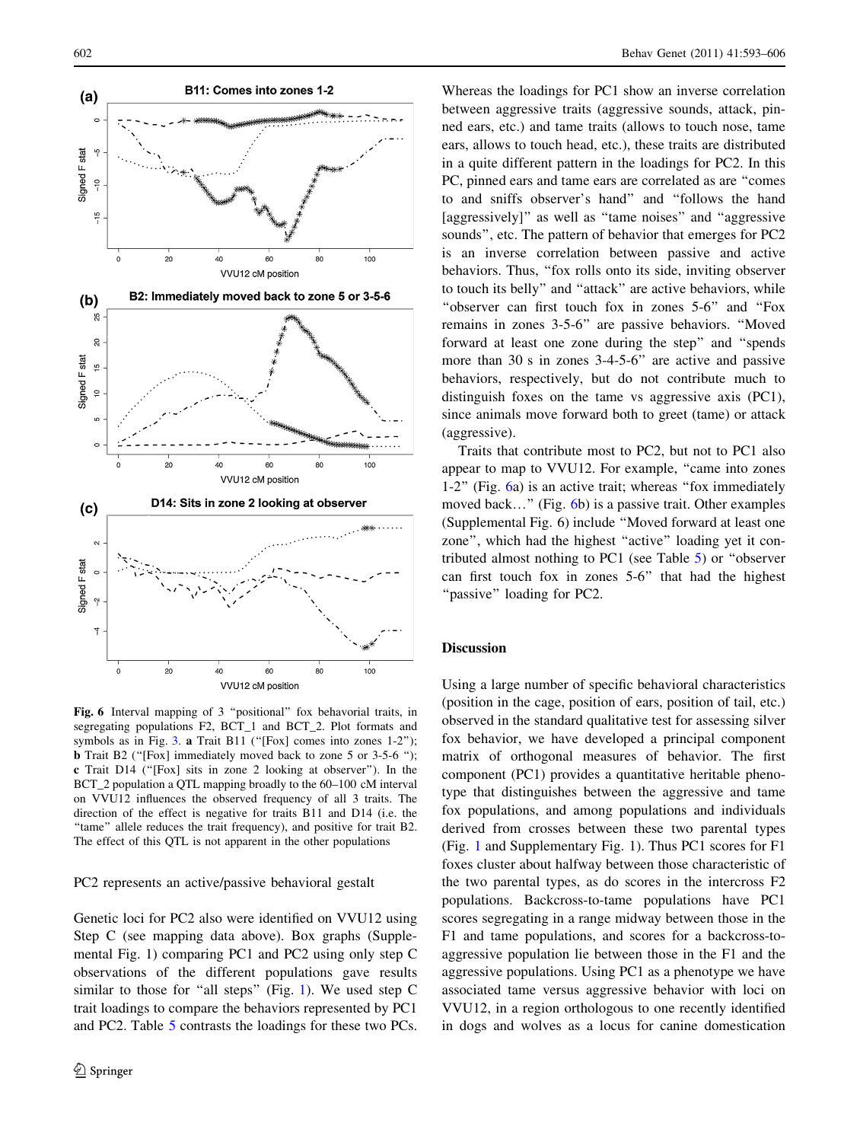<span id="page-9-0"></span>

Fig. 6 Interval mapping of 3 "positional" fox behavorial traits, in segregating populations F2, BCT\_1 and BCT\_2. Plot formats and symbols as in Fig. [3](#page-7-0). a Trait B11 ("[Fox] comes into zones 1-2"); **b** Trait B2 ("[Fox] immediately moved back to zone 5 or 3-5-6 "); c Trait D14 (''[Fox] sits in zone 2 looking at observer''). In the BCT\_2 population a QTL mapping broadly to the 60–100 cM interval on VVU12 influences the observed frequency of all 3 traits. The direction of the effect is negative for traits B11 and D14 (i.e. the ''tame'' allele reduces the trait frequency), and positive for trait B2. The effect of this QTL is not apparent in the other populations

## PC2 represents an active/passive behavioral gestalt

Genetic loci for PC2 also were identified on VVU12 using Step C (see mapping data above). Box graphs (Supplemental Fig. 1) comparing PC1 and PC2 using only step C observations of the different populations gave results similar to those for "all steps" (Fig. [1](#page-2-0)). We used step C trait loadings to compare the behaviors represented by PC1 and PC2. Table [5](#page-10-0) contrasts the loadings for these two PCs.

Whereas the loadings for PC1 show an inverse correlation between aggressive traits (aggressive sounds, attack, pinned ears, etc.) and tame traits (allows to touch nose, tame ears, allows to touch head, etc.), these traits are distributed in a quite different pattern in the loadings for PC2. In this PC, pinned ears and tame ears are correlated as are ''comes to and sniffs observer's hand'' and ''follows the hand [aggressively]'' as well as ''tame noises'' and ''aggressive sounds'', etc. The pattern of behavior that emerges for PC2 is an inverse correlation between passive and active behaviors. Thus, ''fox rolls onto its side, inviting observer to touch its belly'' and ''attack'' are active behaviors, while ''observer can first touch fox in zones 5-6'' and ''Fox remains in zones 3-5-6'' are passive behaviors. ''Moved forward at least one zone during the step'' and ''spends more than 30 s in zones 3-4-5-6'' are active and passive behaviors, respectively, but do not contribute much to distinguish foxes on the tame vs aggressive axis (PC1), since animals move forward both to greet (tame) or attack (aggressive).

Traits that contribute most to PC2, but not to PC1 also appear to map to VVU12. For example, "came into zones 1-2'' (Fig. 6a) is an active trait; whereas ''fox immediately moved back..." (Fig. 6b) is a passive trait. Other examples (Supplemental Fig. 6) include ''Moved forward at least one zone'', which had the highest ''active'' loading yet it contributed almost nothing to PC1 (see Table [5](#page-10-0)) or ''observer can first touch fox in zones 5-6'' that had the highest "passive" loading for PC2.

# Discussion

Using a large number of specific behavioral characteristics (position in the cage, position of ears, position of tail, etc.) observed in the standard qualitative test for assessing silver fox behavior, we have developed a principal component matrix of orthogonal measures of behavior. The first component (PC1) provides a quantitative heritable phenotype that distinguishes between the aggressive and tame fox populations, and among populations and individuals derived from crosses between these two parental types (Fig. [1](#page-2-0) and Supplementary Fig. 1). Thus PC1 scores for F1 foxes cluster about halfway between those characteristic of the two parental types, as do scores in the intercross F2 populations. Backcross-to-tame populations have PC1 scores segregating in a range midway between those in the F1 and tame populations, and scores for a backcross-toaggressive population lie between those in the F1 and the aggressive populations. Using PC1 as a phenotype we have associated tame versus aggressive behavior with loci on VVU12, in a region orthologous to one recently identified in dogs and wolves as a locus for canine domestication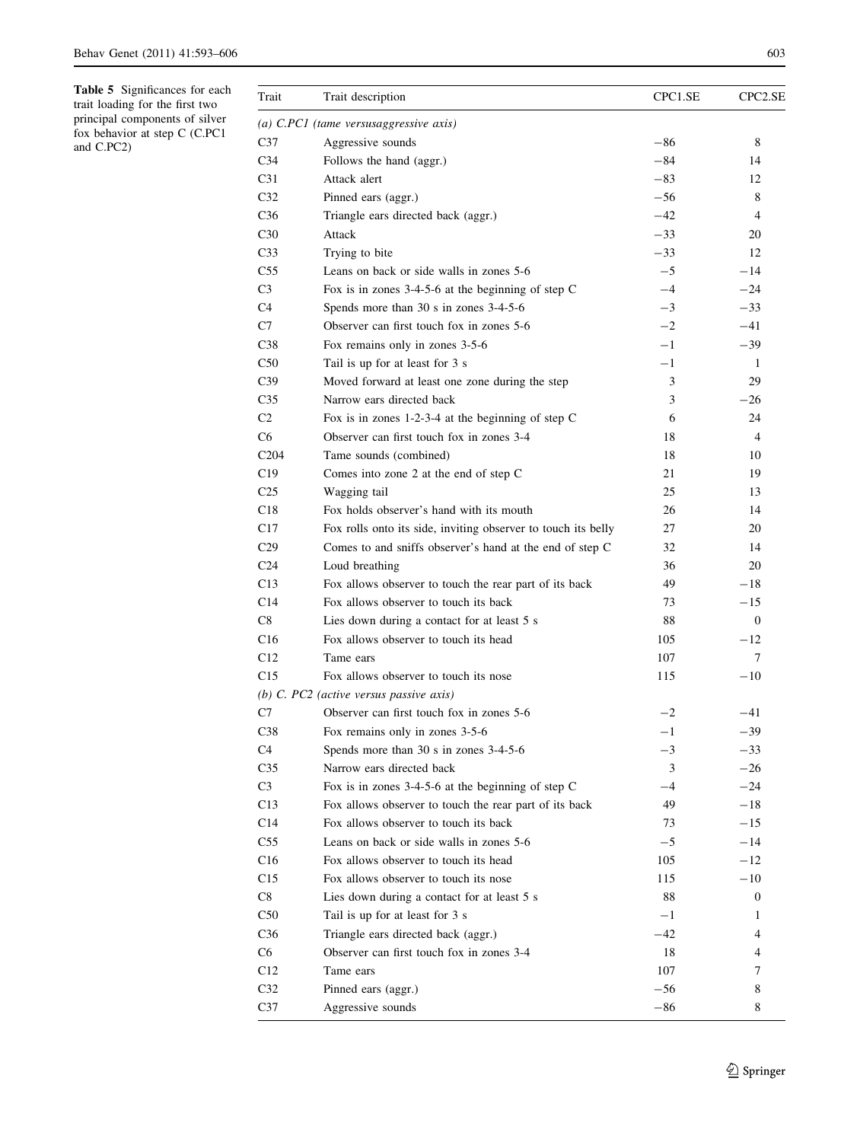<span id="page-10-0"></span>Table 5 Significances for each trait loading for the first two principal components of silver fox behavior at step C (C.PC1 and C.PC2)

| Trait                 | Trait description                                             | CPC1.SE | CPC2.SE          |
|-----------------------|---------------------------------------------------------------|---------|------------------|
|                       | (a) $C.PC1$ (tame versusaggressive axis)                      |         |                  |
| C <sub>37</sub>       | Aggressive sounds                                             | $-86$   | 8                |
| C <sub>34</sub>       | Follows the hand (aggr.)                                      | $-84$   | 14               |
| C31                   | Attack alert                                                  | $-83$   | 12               |
| C32                   | Pinned ears (aggr.)                                           | $-56$   | 8                |
| C <sub>36</sub>       | Triangle ears directed back (aggr.)                           | $-42$   | $\overline{4}$   |
| C <sub>30</sub>       | Attack                                                        | $-33$   | 20               |
| C <sub>33</sub>       | Trying to bite                                                | $-33$   | 12               |
| C55                   | Leans on back or side walls in zones 5-6                      | $-5$    | $-14$            |
| C3                    | Fox is in zones 3-4-5-6 at the beginning of step C            | $-4$    | $-24$            |
| C4                    | Spends more than 30 s in zones 3-4-5-6                        | $-3$    | $-33$            |
| C7                    | Observer can first touch fox in zones 5-6                     | $-2$    | $-41$            |
| C <sub>38</sub>       | Fox remains only in zones 3-5-6                               | $-1$    | $-39$            |
| C50                   | Tail is up for at least for 3 s                               | $-1$    | 1                |
| C <sub>39</sub>       | Moved forward at least one zone during the step               | 3       | 29               |
| C <sub>35</sub>       | Narrow ears directed back                                     | 3       | $-26$            |
| C2                    | Fox is in zones 1-2-3-4 at the beginning of step $C$          | 6       | 24               |
| C <sub>6</sub>        | Observer can first touch fox in zones 3-4                     | 18      | 4                |
| C <sub>2</sub> 04     | Tame sounds (combined)                                        | 18      | 10               |
| C19                   | Comes into zone 2 at the end of step C                        | 21      | 19               |
| C <sub>25</sub>       | Wagging tail                                                  | 25      | 13               |
| C18                   | Fox holds observer's hand with its mouth                      | 26      | 14               |
| C17                   | Fox rolls onto its side, inviting observer to touch its belly | 27      | 20               |
| C <sub>29</sub>       | Comes to and sniffs observer's hand at the end of step C      | 32      | 14               |
| C <sub>24</sub>       | Loud breathing                                                | 36      | 20               |
| C13                   | Fox allows observer to touch the rear part of its back        | 49      | $-18$            |
| C14                   | Fox allows observer to touch its back                         | 73      | $-15$            |
| C8                    | Lies down during a contact for at least 5 s                   | 88      | $\boldsymbol{0}$ |
| C16                   | Fox allows observer to touch its head                         | 105     | $-12$            |
| C12                   | Tame ears                                                     | 107     | 7                |
| C15                   | Fox allows observer to touch its nose                         | 115     | $-10$            |
|                       | (b) $C. PC2$ (active versus passive axis)                     |         |                  |
| C7                    | Observer can first touch fox in zones 5-6                     | $^{-2}$ | $-41$            |
| C38                   | Fox remains only in zones 3-5-6                               | $-1$    | -39              |
| C4                    | Spends more than 30 s in zones 3-4-5-6                        | $^{-3}$ | $-33$            |
| C <sub>35</sub>       | Narrow ears directed back                                     | 3       | $-26$            |
| C <sub>3</sub>        | Fox is in zones $3-4-5-6$ at the beginning of step C          | $-4$    | $-24$            |
| C13                   | Fox allows observer to touch the rear part of its back        | 49      | $-18$            |
| C <sub>14</sub>       | Fox allows observer to touch its back                         | 73      | $-15$            |
| C <sub>55</sub>       | Leans on back or side walls in zones 5-6                      | $-5$    | $-14$            |
| C16                   | Fox allows observer to touch its head                         | 105     | $-12$            |
| C15                   | Fox allows observer to touch its nose                         | 115     | $-10$            |
| C8                    | Lies down during a contact for at least 5 s                   | 88      | 0                |
| C50                   | Tail is up for at least for 3 s                               | $-1$    | 1                |
| C <sub>36</sub>       | Triangle ears directed back (aggr.)                           | -42     | 4                |
|                       | Observer can first touch fox in zones 3-4                     | 18      | 4                |
| C <sub>6</sub><br>C12 | Tame ears                                                     | 107     |                  |
|                       |                                                               |         | 7                |
| C32                   | Pinned ears (aggr.)                                           | $-56$   | 8                |
| C37                   | Aggressive sounds                                             | $-86$   | 8                |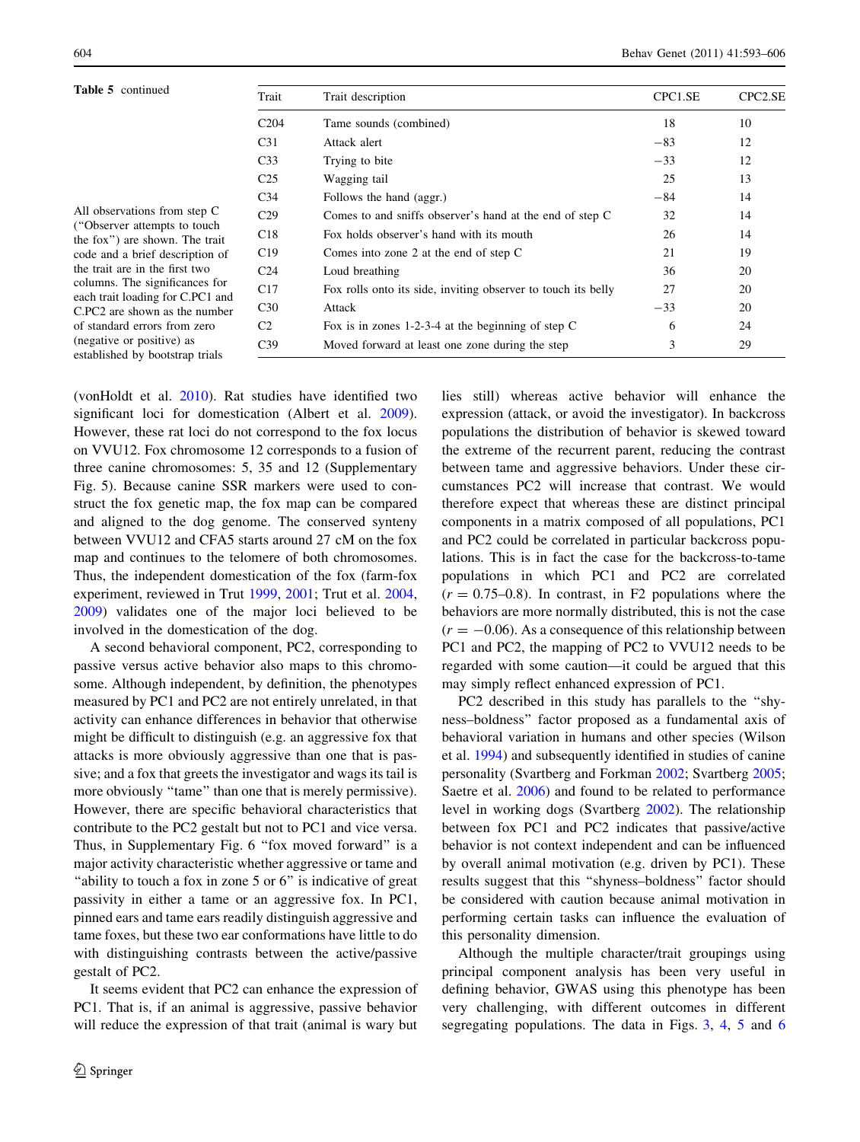#### Table 5

| Table 5 continued                                                                                   | Trait            | Trait description                                             | CPC <sub>1.SE</sub> | CPC <sub>2.SE</sub> |
|-----------------------------------------------------------------------------------------------------|------------------|---------------------------------------------------------------|---------------------|---------------------|
|                                                                                                     | C <sub>204</sub> | Tame sounds (combined)                                        | 18                  | 10                  |
|                                                                                                     | C <sub>31</sub>  | Attack alert                                                  | $-83$               | 12                  |
|                                                                                                     | C <sub>33</sub>  | Trying to bite                                                | $-33$               | 12                  |
|                                                                                                     | C <sub>25</sub>  | Wagging tail                                                  | 25                  | 13                  |
|                                                                                                     | C <sub>34</sub>  | Follows the hand (aggr.)                                      | $-84$               | 14                  |
| All observations from step C                                                                        | C <sub>29</sub>  | Comes to and sniffs observer's hand at the end of step C      | 32                  | 14                  |
| ("Observer attempts to touch")<br>the fox") are shown. The trait<br>code and a brief description of | C18              | Fox holds observer's hand with its mouth                      | 26                  | 14                  |
|                                                                                                     | C19              | Comes into zone 2 at the end of step C                        | 21                  | 19                  |
| the trait are in the first two                                                                      | C <sub>24</sub>  | Loud breathing                                                | 36                  | 20                  |
| columns. The significances for<br>each trait loading for C.PC1 and<br>C.PC2 are shown as the number | C17              | Fox rolls onto its side, inviting observer to touch its belly | 27                  | 20                  |
|                                                                                                     | C <sub>30</sub>  | Attack                                                        | $-33$               | 20                  |
| of standard errors from zero                                                                        | C <sub>2</sub>   | Fox is in zones 1-2-3-4 at the beginning of step $C$          | 6                   | 24                  |
| (negative or positive) as<br>established by bootstrap trials                                        | C <sub>39</sub>  | Moved forward at least one zone during the step               | 3                   | 29                  |

(vonHoldt et al. [2010](#page-13-0)). Rat studies have identified two significant loci for domestication (Albert et al. [2009](#page-12-0)). However, these rat loci do not correspond to the fox locus on VVU12. Fox chromosome 12 corresponds to a fusion of three canine chromosomes: 5, 35 and 12 (Supplementary Fig. 5). Because canine SSR markers were used to construct the fox genetic map, the fox map can be compared and aligned to the dog genome. The conserved synteny between VVU12 and CFA5 starts around 27 cM on the fox map and continues to the telomere of both chromosomes. Thus, the independent domestication of the fox (farm-fox experiment, reviewed in Trut [1999](#page-13-0), [2001;](#page-13-0) Trut et al. [2004,](#page-13-0) [2009\)](#page-13-0) validates one of the major loci believed to be involved in the domestication of the dog.

A second behavioral component, PC2, corresponding to passive versus active behavior also maps to this chromosome. Although independent, by definition, the phenotypes measured by PC1 and PC2 are not entirely unrelated, in that activity can enhance differences in behavior that otherwise might be difficult to distinguish (e.g. an aggressive fox that attacks is more obviously aggressive than one that is passive; and a fox that greets the investigator and wags its tail is more obviously "tame" than one that is merely permissive). However, there are specific behavioral characteristics that contribute to the PC2 gestalt but not to PC1 and vice versa. Thus, in Supplementary Fig. 6 "fox moved forward" is a major activity characteristic whether aggressive or tame and "ability to touch a fox in zone 5 or 6" is indicative of great passivity in either a tame or an aggressive fox. In PC1, pinned ears and tame ears readily distinguish aggressive and tame foxes, but these two ear conformations have little to do with distinguishing contrasts between the active/passive gestalt of PC2.

It seems evident that PC2 can enhance the expression of PC1. That is, if an animal is aggressive, passive behavior will reduce the expression of that trait (animal is wary but lies still) whereas active behavior will enhance the expression (attack, or avoid the investigator). In backcross populations the distribution of behavior is skewed toward the extreme of the recurrent parent, reducing the contrast between tame and aggressive behaviors. Under these circumstances PC2 will increase that contrast. We would therefore expect that whereas these are distinct principal components in a matrix composed of all populations, PC1 and PC2 could be correlated in particular backcross populations. This is in fact the case for the backcross-to-tame populations in which PC1 and PC2 are correlated  $(r = 0.75{\text -}0.8)$ . In contrast, in F2 populations where the behaviors are more normally distributed, this is not the case  $(r = -0.06)$ . As a consequence of this relationship between PC1 and PC2, the mapping of PC2 to VVU12 needs to be regarded with some caution—it could be argued that this may simply reflect enhanced expression of PC1.

PC2 described in this study has parallels to the ''shyness–boldness'' factor proposed as a fundamental axis of behavioral variation in humans and other species (Wilson et al. [1994](#page-13-0)) and subsequently identified in studies of canine personality (Svartberg and Forkman [2002](#page-13-0); Svartberg [2005](#page-13-0); Saetre et al. [2006\)](#page-13-0) and found to be related to performance level in working dogs (Svartberg [2002\)](#page-13-0). The relationship between fox PC1 and PC2 indicates that passive/active behavior is not context independent and can be influenced by overall animal motivation (e.g. driven by PC1). These results suggest that this ''shyness–boldness'' factor should be considered with caution because animal motivation in performing certain tasks can influence the evaluation of this personality dimension.

Although the multiple character/trait groupings using principal component analysis has been very useful in defining behavior, GWAS using this phenotype has been very challenging, with different outcomes in different segregating populations. The data in Figs. [3,](#page-7-0) [4,](#page-8-0) [5](#page-8-0) and [6](#page-9-0)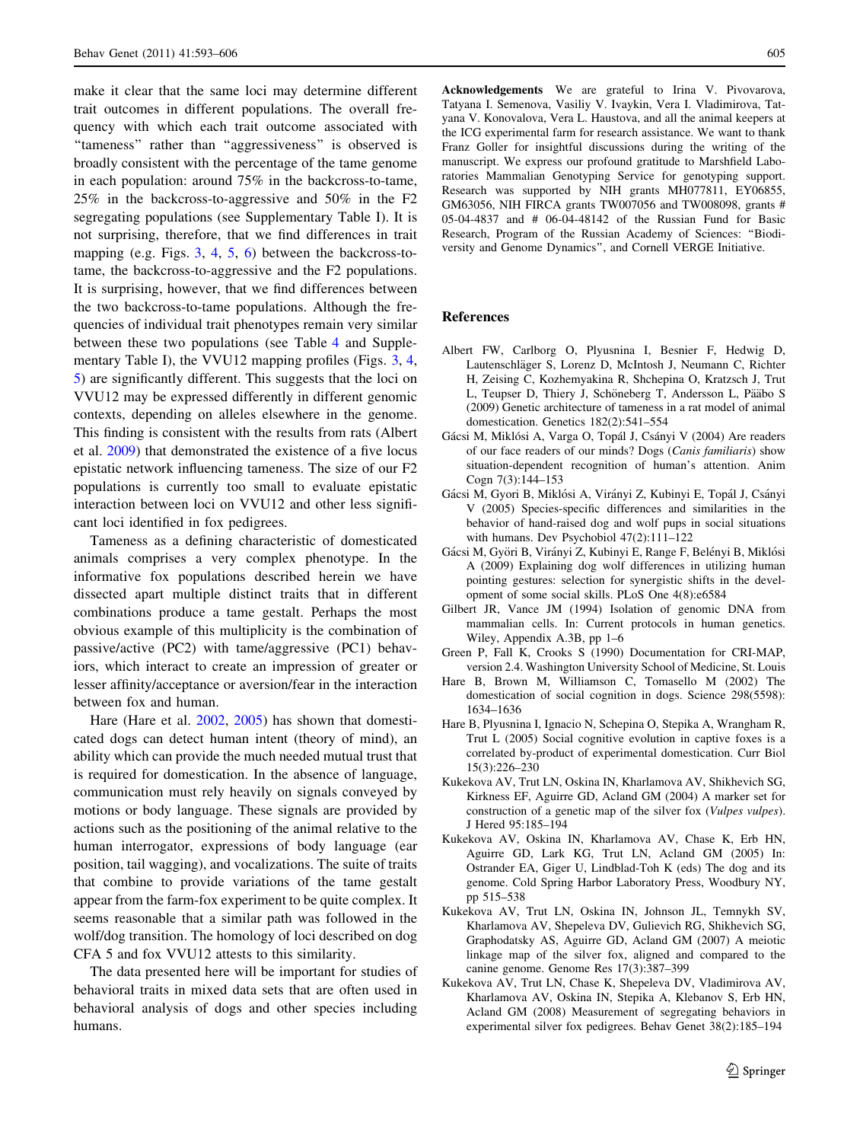<span id="page-12-0"></span>make it clear that the same loci may determine different trait outcomes in different populations. The overall frequency with which each trait outcome associated with ''tameness'' rather than ''aggressiveness'' is observed is broadly consistent with the percentage of the tame genome in each population: around 75% in the backcross-to-tame, 25% in the backcross-to-aggressive and 50% in the F2 segregating populations (see Supplementary Table I). It is not surprising, therefore, that we find differences in trait mapping (e.g. Figs. [3,](#page-7-0) [4](#page-8-0), [5,](#page-8-0) [6](#page-9-0)) between the backcross-totame, the backcross-to-aggressive and the F2 populations. It is surprising, however, that we find differences between the two backcross-to-tame populations. Although the frequencies of individual trait phenotypes remain very similar between these two populations (see Table [4](#page-6-0) and Supplementary Table I), the VVU12 mapping profiles (Figs. [3](#page-7-0), [4,](#page-8-0) [5](#page-8-0)) are significantly different. This suggests that the loci on VVU12 may be expressed differently in different genomic contexts, depending on alleles elsewhere in the genome. This finding is consistent with the results from rats (Albert et al. 2009) that demonstrated the existence of a five locus epistatic network influencing tameness. The size of our F2 populations is currently too small to evaluate epistatic interaction between loci on VVU12 and other less significant loci identified in fox pedigrees.

Tameness as a defining characteristic of domesticated animals comprises a very complex phenotype. In the informative fox populations described herein we have dissected apart multiple distinct traits that in different combinations produce a tame gestalt. Perhaps the most obvious example of this multiplicity is the combination of passive/active (PC2) with tame/aggressive (PC1) behaviors, which interact to create an impression of greater or lesser affinity/acceptance or aversion/fear in the interaction between fox and human.

Hare (Hare et al. 2002, 2005) has shown that domesticated dogs can detect human intent (theory of mind), an ability which can provide the much needed mutual trust that is required for domestication. In the absence of language, communication must rely heavily on signals conveyed by motions or body language. These signals are provided by actions such as the positioning of the animal relative to the human interrogator, expressions of body language (ear position, tail wagging), and vocalizations. The suite of traits that combine to provide variations of the tame gestalt appear from the farm-fox experiment to be quite complex. It seems reasonable that a similar path was followed in the wolf/dog transition. The homology of loci described on dog CFA 5 and fox VVU12 attests to this similarity.

The data presented here will be important for studies of behavioral traits in mixed data sets that are often used in behavioral analysis of dogs and other species including humans.

Acknowledgements We are grateful to Irina V. Pivovarova, Tatyana I. Semenova, Vasiliy V. Ivaykin, Vera I. Vladimirova, Tatyana V. Konovalova, Vera L. Haustova, and all the animal keepers at the ICG experimental farm for research assistance. We want to thank Franz Goller for insightful discussions during the writing of the manuscript. We express our profound gratitude to Marshfield Laboratories Mammalian Genotyping Service for genotyping support. Research was supported by NIH grants MH077811, EY06855, GM63056, NIH FIRCA grants TW007056 and TW008098, grants # 05-04-4837 and # 06-04-48142 of the Russian Fund for Basic Research, Program of the Russian Academy of Sciences: ''Biodiversity and Genome Dynamics'', and Cornell VERGE Initiative.

# References

- Albert FW, Carlborg O, Plyusnina I, Besnier F, Hedwig D, Lautenschläger S, Lorenz D, McIntosh J, Neumann C, Richter H, Zeising C, Kozhemyakina R, Shchepina O, Kratzsch J, Trut L, Teupser D, Thiery J, Schöneberg T, Andersson L, Pääbo S (2009) Genetic architecture of tameness in a rat model of animal domestication. Genetics 182(2):541–554
- Gácsi M, Miklósi A, Varga O, Topál J, Csányi V (2004) Are readers of our face readers of our minds? Dogs (Canis familiaris) show situation-dependent recognition of human's attention. Anim Cogn 7(3):144–153
- Gácsi M, Gyori B, Miklósi A, Virányi Z, Kubinyi E, Topál J, Csányi V (2005) Species-specific differences and similarities in the behavior of hand-raised dog and wolf pups in social situations with humans. Dev Psychobiol 47(2):111–122
- Gácsi M, Györi B, Virányi Z, Kubinyi E, Range F, Belényi B, Miklósi A (2009) Explaining dog wolf differences in utilizing human pointing gestures: selection for synergistic shifts in the development of some social skills. PLoS One 4(8):e6584
- Gilbert JR, Vance JM (1994) Isolation of genomic DNA from mammalian cells. In: Current protocols in human genetics. Wiley, Appendix A.3B, pp 1–6
- Green P, Fall K, Crooks S (1990) Documentation for CRI-MAP, version 2.4. Washington University School of Medicine, St. Louis
- Hare B, Brown M, Williamson C, Tomasello M (2002) The domestication of social cognition in dogs. Science 298(5598): 1634–1636
- Hare B, Plyusnina I, Ignacio N, Schepina O, Stepika A, Wrangham R, Trut L (2005) Social cognitive evolution in captive foxes is a correlated by-product of experimental domestication. Curr Biol 15(3):226–230
- Kukekova AV, Trut LN, Oskina IN, Kharlamova AV, Shikhevich SG, Kirkness EF, Aguirre GD, Acland GM (2004) A marker set for construction of a genetic map of the silver fox (Vulpes vulpes). J Hered 95:185–194
- Kukekova AV, Oskina IN, Kharlamova AV, Chase K, Erb HN, Aguirre GD, Lark KG, Trut LN, Acland GM (2005) In: Ostrander EA, Giger U, Lindblad-Toh K (eds) The dog and its genome. Cold Spring Harbor Laboratory Press, Woodbury NY, pp 515–538
- Kukekova AV, Trut LN, Oskina IN, Johnson JL, Temnykh SV, Kharlamova AV, Shepeleva DV, Gulievich RG, Shikhevich SG, Graphodatsky AS, Aguirre GD, Acland GM (2007) A meiotic linkage map of the silver fox, aligned and compared to the canine genome. Genome Res 17(3):387–399
- Kukekova AV, Trut LN, Chase K, Shepeleva DV, Vladimirova AV, Kharlamova AV, Oskina IN, Stepika A, Klebanov S, Erb HN, Acland GM (2008) Measurement of segregating behaviors in experimental silver fox pedigrees. Behav Genet 38(2):185–194